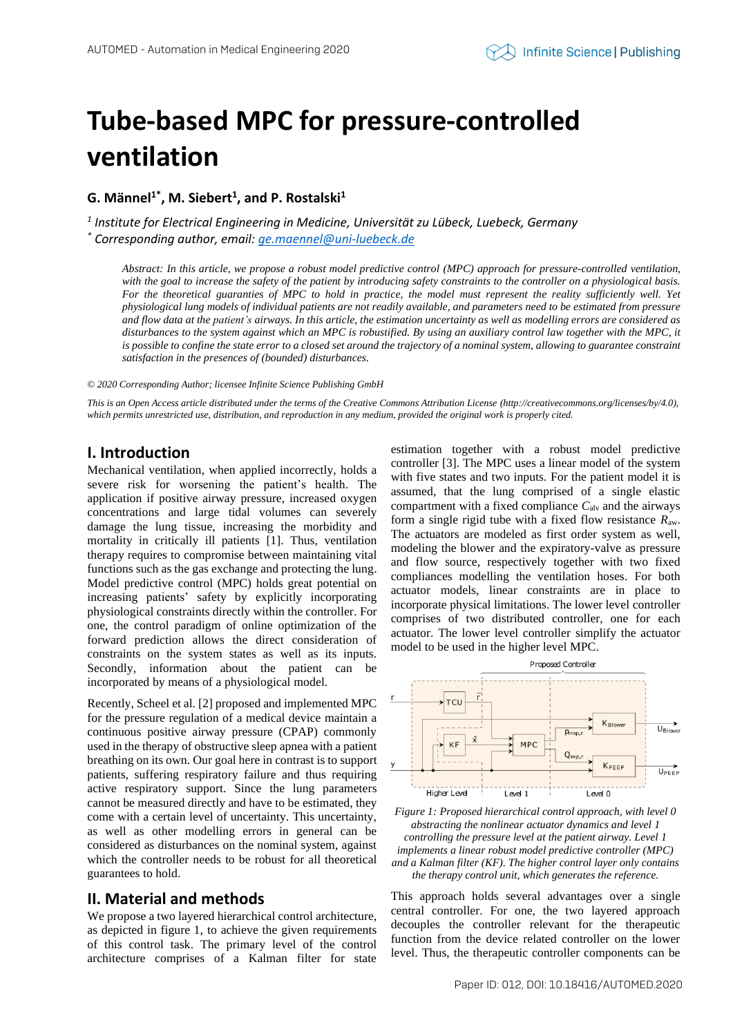# **Tube-based MPC for pressure-controlled ventilation**

**G. Männel1\* , M. Siebert<sup>1</sup> , and P. Rostalski<sup>1</sup>**

*1 Institute for Electrical Engineering in Medicine, Universität zu Lübeck, Luebeck, Germany \* Corresponding author, email[: ge.maennel@uni-luebeck.de](mailto:ge.maennel@uni-luebeck.de)*

*Abstract: In this article, we propose a robust model predictive control (MPC) approach for pressure-controlled ventilation, with the goal to increase the safety of the patient by introducing safety constraints to the controller on a physiological basis. For the theoretical guaranties of MPC to hold in practice, the model must represent the reality sufficiently well. Yet physiological lung models of individual patients are not readily available, and parameters need to be estimated from pressure and flow data at the patient's airways. In this article, the estimation uncertainty as well as modelling errors are considered as disturbances to the system against which an MPC is robustified. By using an auxiliary control law together with the MPC, it is possible to confine the state error to a closed set around the trajectory of a nominal system, allowing to guarantee constraint satisfaction in the presences of (bounded) disturbances.*

#### *© 2020 Corresponding Author; licensee Infinite Science Publishing GmbH*

*This is an Open Access article distributed under the terms of the Creative Commons Attribution License (http://creativecommons.org/licenses/by/4.0), which permits unrestricted use, distribution, and reproduction in any medium, provided the original work is properly cited.*

## **I. Introduction**

Mechanical ventilation, when applied incorrectly, holds a severe risk for worsening the patient's health. The application if positive airway pressure, increased oxygen concentrations and large tidal volumes can severely damage the lung tissue, increasing the morbidity and mortality in critically ill patients [1]. Thus, ventilation therapy requires to compromise between maintaining vital functions such as the gas exchange and protecting the lung. Model predictive control (MPC) holds great potential on increasing patients' safety by explicitly incorporating physiological constraints directly within the controller. For one, the control paradigm of online optimization of the forward prediction allows the direct consideration of constraints on the system states as well as its inputs. Secondly, information about the patient can be incorporated by means of a physiological model.

Recently, Scheel et al. [2] proposed and implemented MPC for the pressure regulation of a medical device maintain a continuous positive airway pressure (CPAP) commonly used in the therapy of obstructive sleep apnea with a patient breathing on its own. Our goal here in contrast is to support patients, suffering respiratory failure and thus requiring active respiratory support. Since the lung parameters cannot be measured directly and have to be estimated, they come with a certain level of uncertainty. This uncertainty, as well as other modelling errors in general can be considered as disturbances on the nominal system, against which the controller needs to be robust for all theoretical guarantees to hold.

## **II. Material and methods**

We propose a two layered hierarchical control architecture, as depicted in figure 1, to achieve the given requirements of this control task. The primary level of the control architecture comprises of a Kalman filter for state estimation together with a robust model predictive controller [3]. The MPC uses a linear model of the system with five states and two inputs. For the patient model it is assumed, that the lung comprised of a single elastic compartment with a fixed compliance  $C_{\text{alv}}$  and the airways form a single rigid tube with a fixed flow resistance *R*aw. The actuators are modeled as first order system as well, modeling the blower and the expiratory-valve as pressure and flow source, respectively together with two fixed compliances modelling the ventilation hoses. For both actuator models, linear constraints are in place to incorporate physical limitations. The lower level controller comprises of two distributed controller, one for each actuator. The lower level controller simplify the actuator model to be used in the higher level MPC.



*Figure 1: Proposed hierarchical control approach, with level 0 abstracting the nonlinear actuator dynamics and level 1 controlling the pressure level at the patient airway. Level 1 implements a linear robust model predictive controller (MPC) and a Kalman filter (KF). The higher control layer only contains the therapy control unit, which generates the reference.*

This approach holds several advantages over a single central controller. For one, the two layered approach decouples the controller relevant for the therapeutic function from the device related controller on the lower level. Thus, the therapeutic controller components can be